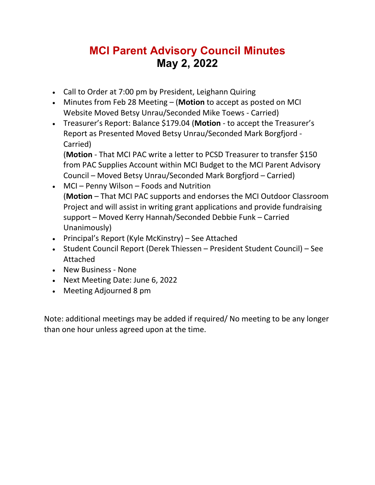### **MCI Parent Advisory Council Minutes May 2, 2022**

- Call to Order at 7:00 pm by President, Leighann Quiring
- Minutes from Feb 28 Meeting (**Motion** to accept as posted on MCI Website Moved Betsy Unrau/Seconded Mike Toews - Carried)
- Treasurer's Report: Balance \$179.04 (**Motion** to accept the Treasurer's Report as Presented Moved Betsy Unrau/Seconded Mark Borgfjord - Carried)

(**Motion** - That MCI PAC write a letter to PCSD Treasurer to transfer \$150 from PAC Supplies Account within MCI Budget to the MCI Parent Advisory Council – Moved Betsy Unrau/Seconded Mark Borgfjord – Carried)

- MCI Penny Wilson Foods and Nutrition (**Motion** – That MCI PAC supports and endorses the MCI Outdoor Classroom Project and will assist in writing grant applications and provide fundraising support – Moved Kerry Hannah/Seconded Debbie Funk – Carried Unanimously)
- Principal's Report (Kyle McKinstry) See Attached
- Student Council Report (Derek Thiessen President Student Council) See Attached
- New Business None
- Next Meeting Date: June 6, 2022
- Meeting Adjourned 8 pm

Note: additional meetings may be added if required/ No meeting to be any longer than one hour unless agreed upon at the time.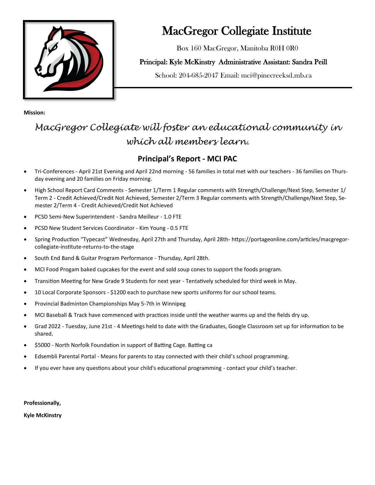

# MacGregor Collegiate Institute

Box 160 MacGregor, Manitoba R0H 0R0

#### Principal: Kyle McKinstry Administrative Assistant: Sandra Peill

School: 204-685-2047 Email: mci@pinecreeksd.mb.ca

**Mission:** 

## *MacGregor Collegiate will foster an educational community in which all members learn.*

#### **Principal's Report - MCI PAC**

- Tri-Conferences April 21st Evening and April 22nd morning 56 families in total met with our teachers 36 families on Thursday evening and 20 families on Friday morning.
- High School Report Card Comments Semester 1/Term 1 Regular comments with Strength/Challenge/Next Step, Semester 1/ Term 2 - Credit Achieved/Credit Not Achieved, Semester 2/Term 3 Regular comments with Strength/Challenge/Next Step, Semester 2/Term 4 - Credit Achieved/Credit Not Achieved
- PCSD Semi-New Superintendent Sandra Meilleur 1.0 FTE
- PCSD New Student Services Coordinator Kim Young 0.5 FTE
- Spring Production "Typecast" Wednesday, April 27th and Thursday, April 28th- https://portageonline.com/articles/macgregorcollegiate-institute-returns-to-the-stage
- South End Band & Guitar Program Performance Thursday, April 28th.
- MCI Food Progam baked cupcakes for the event and sold soup cones to support the foods program.
- Transition Meeting for New Grade 9 Students for next year Tentatively scheduled for third week in May.
- 10 Local Corporate Sponsors \$1200 each to purchase new sports uniforms for our school teams.
- Provincial Badminton Championships May 5-7th in Winnipeg
- MCI Baseball & Track have commenced with practices inside until the weather warms up and the fields dry up.
- Grad 2022 Tuesday, June 21st 4 Meetings held to date with the Graduates, Google Classroom set up for information to be shared.
- \$5000 North Norfolk Foundation in support of Batting Cage. Batting ca
- Edsembli Parental Portal Means for parents to stay connected with their child's school programming.
- If you ever have any questions about your child's educational programming contact your child's teacher.

**Professionally,** 

**Kyle McKinstry**